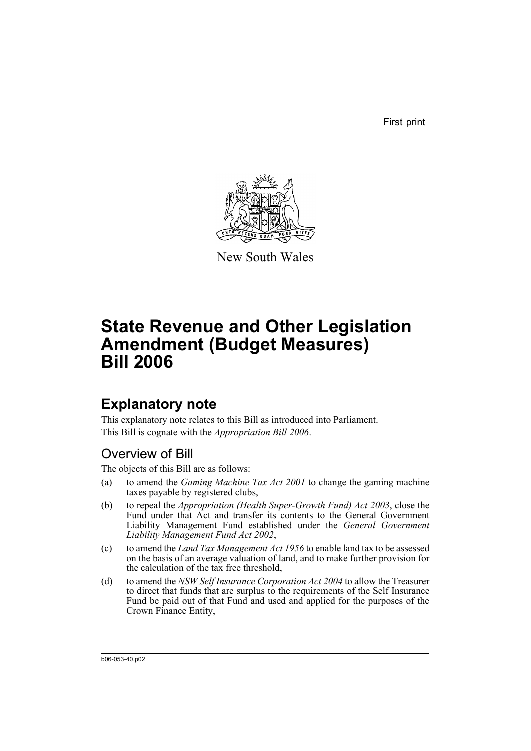First print



New South Wales

# **State Revenue and Other Legislation Amendment (Budget Measures) Bill 2006**

## **Explanatory note**

This explanatory note relates to this Bill as introduced into Parliament. This Bill is cognate with the *Appropriation Bill 2006*.

## Overview of Bill

The objects of this Bill are as follows:

- (a) to amend the *Gaming Machine Tax Act 2001* to change the gaming machine taxes payable by registered clubs,
- (b) to repeal the *Appropriation (Health Super-Growth Fund) Act 2003*, close the Fund under that Act and transfer its contents to the General Government Liability Management Fund established under the *General Government Liability Management Fund Act 2002*,
- (c) to amend the *Land Tax Management Act 1956* to enable land tax to be assessed on the basis of an average valuation of land, and to make further provision for the calculation of the tax free threshold,
- (d) to amend the *NSW Self Insurance Corporation Act 2004* to allow the Treasurer to direct that funds that are surplus to the requirements of the Self Insurance Fund be paid out of that Fund and used and applied for the purposes of the Crown Finance Entity,

b06-053-40.p02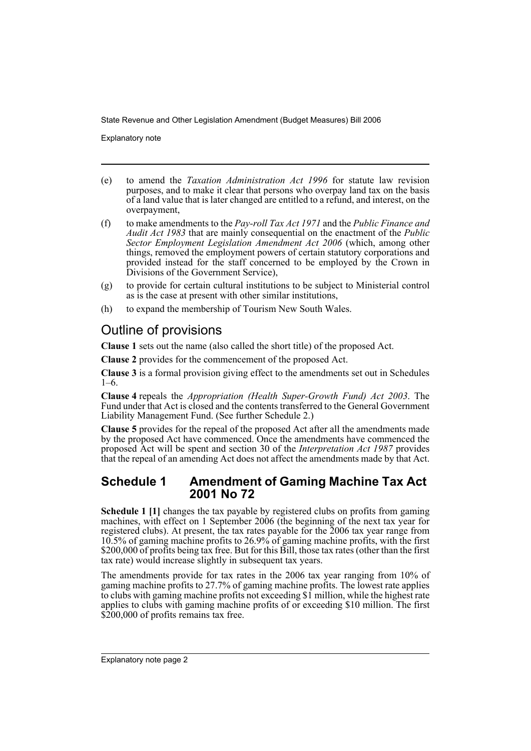Explanatory note

- (e) to amend the *Taxation Administration Act 1996* for statute law revision purposes, and to make it clear that persons who overpay land tax on the basis of a land value that is later changed are entitled to a refund, and interest, on the overpayment,
- (f) to make amendments to the *Pay-roll Tax Act 1971* and the *Public Finance and Audit Act 1983* that are mainly consequential on the enactment of the *Public Sector Employment Legislation Amendment Act 2006* (which, among other things, removed the employment powers of certain statutory corporations and provided instead for the staff concerned to be employed by the Crown in Divisions of the Government Service),
- (g) to provide for certain cultural institutions to be subject to Ministerial control as is the case at present with other similar institutions,
- (h) to expand the membership of Tourism New South Wales.

## Outline of provisions

**Clause 1** sets out the name (also called the short title) of the proposed Act.

**Clause 2** provides for the commencement of the proposed Act.

**Clause 3** is a formal provision giving effect to the amendments set out in Schedules  $1–6.$ 

**Clause 4** repeals the *Appropriation (Health Super-Growth Fund) Act 2003*. The Fund under that Act is closed and the contents transferred to the General Government Liability Management Fund. (See further Schedule 2.)

**Clause 5** provides for the repeal of the proposed Act after all the amendments made by the proposed Act have commenced. Once the amendments have commenced the proposed Act will be spent and section 30 of the *Interpretation Act 1987* provides that the repeal of an amending Act does not affect the amendments made by that Act.

### **Schedule 1 Amendment of Gaming Machine Tax Act 2001 No 72**

**Schedule 1 [1]** changes the tax payable by registered clubs on profits from gaming machines, with effect on 1 September 2006 (the beginning of the next tax year for registered clubs). At present, the tax rates payable for the 2006 tax year range from 10.5% of gaming machine profits to 26.9% of gaming machine profits, with the first \$200,000 of profits being tax free. But for this Bill, those tax rates (other than the first tax rate) would increase slightly in subsequent tax years.

The amendments provide for tax rates in the 2006 tax year ranging from 10% of gaming machine profits to 27.7% of gaming machine profits. The lowest rate applies to clubs with gaming machine profits not exceeding \$1 million, while the highest rate applies to clubs with gaming machine profits of or exceeding \$10 million. The first \$200,000 of profits remains tax free.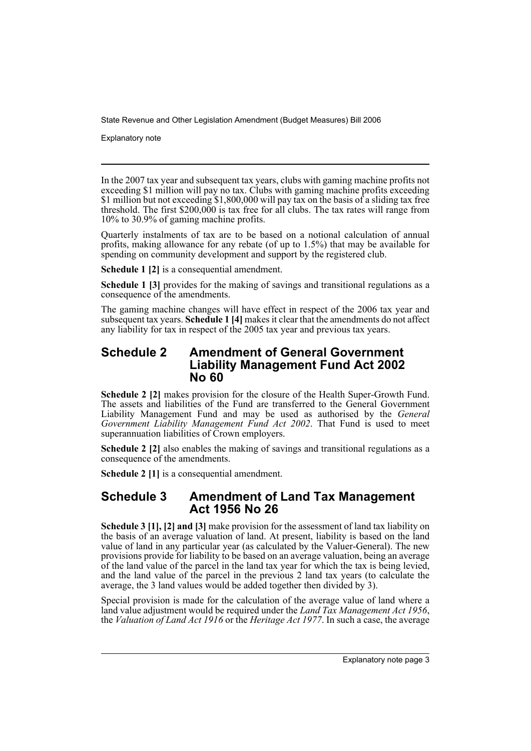Explanatory note

In the 2007 tax year and subsequent tax years, clubs with gaming machine profits not exceeding \$1 million will pay no tax. Clubs with gaming machine profits exceeding \$1 million but not exceeding \$1,800,000 will pay tax on the basis of a sliding tax free threshold. The first  $$200,000$  is tax free for all clubs. The tax rates will range from 10% to 30.9% of gaming machine profits.

Quarterly instalments of tax are to be based on a notional calculation of annual profits, making allowance for any rebate (of up to 1.5%) that may be available for spending on community development and support by the registered club.

**Schedule 1 [2]** is a consequential amendment.

**Schedule 1 [3]** provides for the making of savings and transitional regulations as a consequence of the amendments.

The gaming machine changes will have effect in respect of the 2006 tax year and subsequent tax years. **Schedule 1 [4]** makes it clear that the amendments do not affect any liability for tax in respect of the 2005 tax year and previous tax years.

## **Schedule 2 Amendment of General Government Liability Management Fund Act 2002 No 60**

**Schedule 2 [2]** makes provision for the closure of the Health Super-Growth Fund. The assets and liabilities of the Fund are transferred to the General Government Liability Management Fund and may be used as authorised by the *General Government Liability Management Fund Act 2002*. That Fund is used to meet superannuation liabilities of Crown employers.

**Schedule 2 [2]** also enables the making of savings and transitional regulations as a consequence of the amendments.

**Schedule 2 [1]** is a consequential amendment.

## **Schedule 3 Amendment of Land Tax Management Act 1956 No 26**

**Schedule 3 [1], [2] and [3]** make provision for the assessment of land tax liability on the basis of an average valuation of land. At present, liability is based on the land value of land in any particular year (as calculated by the Valuer-General). The new provisions provide for liability to be based on an average valuation, being an average of the land value of the parcel in the land tax year for which the tax is being levied, and the land value of the parcel in the previous 2 land tax years (to calculate the average, the 3 land values would be added together then divided by 3).

Special provision is made for the calculation of the average value of land where a land value adjustment would be required under the *Land Tax Management Act 1956*. the *Valuation of Land Act 1916* or the *Heritage Act 1977*. In such a case, the average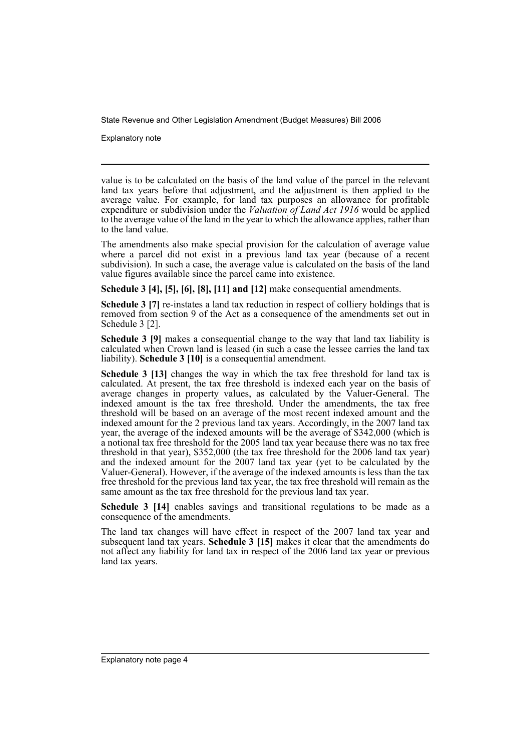Explanatory note

value is to be calculated on the basis of the land value of the parcel in the relevant land tax years before that adjustment, and the adjustment is then applied to the average value. For example, for land tax purposes an allowance for profitable expenditure or subdivision under the *Valuation of Land Act 1916* would be applied to the average value of the land in the year to which the allowance applies, rather than to the land value.

The amendments also make special provision for the calculation of average value where a parcel did not exist in a previous land tax year (because of a recent subdivision). In such a case, the average value is calculated on the basis of the land value figures available since the parcel came into existence.

**Schedule 3 [4], [5], [6], [8], [11] and [12]** make consequential amendments.

**Schedule 3 [7]** re-instates a land tax reduction in respect of colliery holdings that is removed from section 9 of the Act as a consequence of the amendments set out in Schedule 3 [2].

**Schedule 3 [9]** makes a consequential change to the way that land tax liability is calculated when Crown land is leased (in such a case the lessee carries the land tax liability). **Schedule 3 [10]** is a consequential amendment.

**Schedule 3 [13]** changes the way in which the tax free threshold for land tax is calculated. At present, the tax free threshold is indexed each year on the basis of average changes in property values, as calculated by the Valuer-General. The indexed amount is the tax free threshold. Under the amendments, the tax free threshold will be based on an average of the most recent indexed amount and the indexed amount for the 2 previous land tax years. Accordingly, in the 2007 land tax year, the average of the indexed amounts will be the average of \$342,000 (which is a notional tax free threshold for the 2005 land tax year because there was no tax free threshold in that year), \$352,000 (the tax free threshold for the 2006 land tax year) and the indexed amount for the 2007 land tax year (yet to be calculated by the Valuer-General). However, if the average of the indexed amounts is less than the tax free threshold for the previous land tax year, the tax free threshold will remain as the same amount as the tax free threshold for the previous land tax year.

**Schedule 3 [14]** enables savings and transitional regulations to be made as a consequence of the amendments.

The land tax changes will have effect in respect of the 2007 land tax year and subsequent land tax years. **Schedule 3 [15]** makes it clear that the amendments do not affect any liability for land tax in respect of the 2006 land tax year or previous land tax years.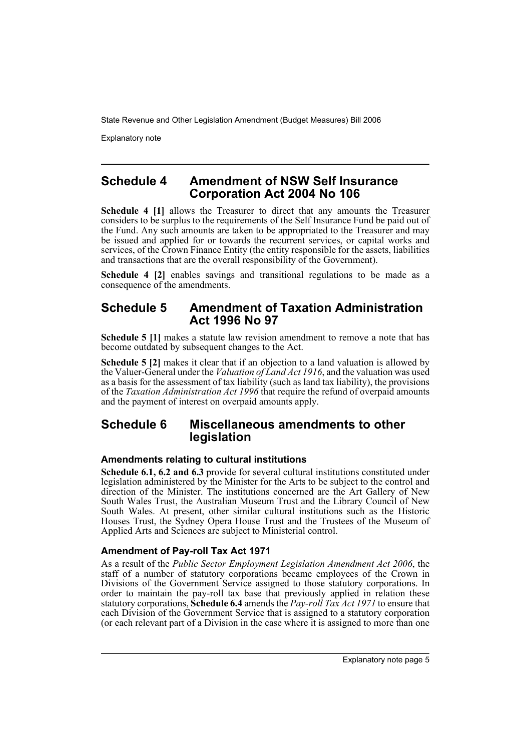Explanatory note

## **Schedule 4 Amendment of NSW Self Insurance Corporation Act 2004 No 106**

**Schedule 4 [1]** allows the Treasurer to direct that any amounts the Treasurer considers to be surplus to the requirements of the Self Insurance Fund be paid out of the Fund. Any such amounts are taken to be appropriated to the Treasurer and may be issued and applied for or towards the recurrent services, or capital works and services, of the Crown Finance Entity (the entity responsible for the assets, liabilities and transactions that are the overall responsibility of the Government).

**Schedule 4 [2]** enables savings and transitional regulations to be made as a consequence of the amendments.

## **Schedule 5 Amendment of Taxation Administration Act 1996 No 97**

**Schedule 5 [1]** makes a statute law revision amendment to remove a note that has become outdated by subsequent changes to the Act.

**Schedule 5 [2]** makes it clear that if an objection to a land valuation is allowed by the Valuer-General under the *Valuation of Land Act 1916*, and the valuation was used as a basis for the assessment of tax liability (such as land tax liability), the provisions of the *Taxation Administration Act 1996* that require the refund of overpaid amounts and the payment of interest on overpaid amounts apply.

## **Schedule 6 Miscellaneous amendments to other legislation**

#### **Amendments relating to cultural institutions**

**Schedule 6.1, 6.2 and 6.3** provide for several cultural institutions constituted under legislation administered by the Minister for the Arts to be subject to the control and direction of the Minister. The institutions concerned are the Art Gallery of New South Wales Trust, the Australian Museum Trust and the Library Council of New South Wales. At present, other similar cultural institutions such as the Historic Houses Trust, the Sydney Opera House Trust and the Trustees of the Museum of Applied Arts and Sciences are subject to Ministerial control.

#### **Amendment of Pay-roll Tax Act 1971**

As a result of the *Public Sector Employment Legislation Amendment Act 2006*, the staff of a number of statutory corporations became employees of the Crown in Divisions of the Government Service assigned to those statutory corporations. In order to maintain the pay-roll tax base that previously applied in relation these statutory corporations, **Schedule 6.4** amends the *Pay-roll Tax Act 1971* to ensure that each Division of the Government Service that is assigned to a statutory corporation (or each relevant part of a Division in the case where it is assigned to more than one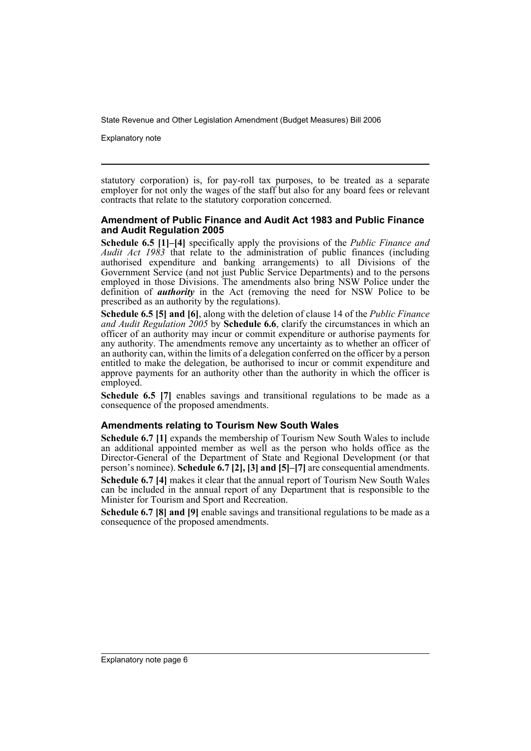Explanatory note

statutory corporation) is, for pay-roll tax purposes, to be treated as a separate employer for not only the wages of the staff but also for any board fees or relevant contracts that relate to the statutory corporation concerned.

#### **Amendment of Public Finance and Audit Act 1983 and Public Finance and Audit Regulation 2005**

**Schedule 6.5 [1]–[4]** specifically apply the provisions of the *Public Finance and Audit Act 1983* that relate to the administration of public finances (including authorised expenditure and banking arrangements) to all Divisions of the Government Service (and not just Public Service Departments) and to the persons employed in those Divisions. The amendments also bring NSW Police under the definition of *authority* in the Act (removing the need for NSW Police to be prescribed as an authority by the regulations).

**Schedule 6.5 [5] and [6]**, along with the deletion of clause 14 of the *Public Finance and Audit Regulation 2005* by **Schedule 6.6**, clarify the circumstances in which an officer of an authority may incur or commit expenditure or authorise payments for any authority. The amendments remove any uncertainty as to whether an officer of an authority can, within the limits of a delegation conferred on the officer by a person entitled to make the delegation, be authorised to incur or commit expenditure and approve payments for an authority other than the authority in which the officer is employed.

**Schedule 6.5 [7]** enables savings and transitional regulations to be made as a consequence of the proposed amendments.

#### **Amendments relating to Tourism New South Wales**

**Schedule 6.7 [1]** expands the membership of Tourism New South Wales to include an additional appointed member as well as the person who holds office as the Director-General of the Department of State and Regional Development (or that person's nominee). **Schedule 6.7 [2], [3] and [5]–[7]** are consequential amendments. **Schedule 6.7 [4]** makes it clear that the annual report of Tourism New South Wales can be included in the annual report of any Department that is responsible to the

Minister for Tourism and Sport and Recreation.

**Schedule 6.7 [8] and [9]** enable savings and transitional regulations to be made as a consequence of the proposed amendments.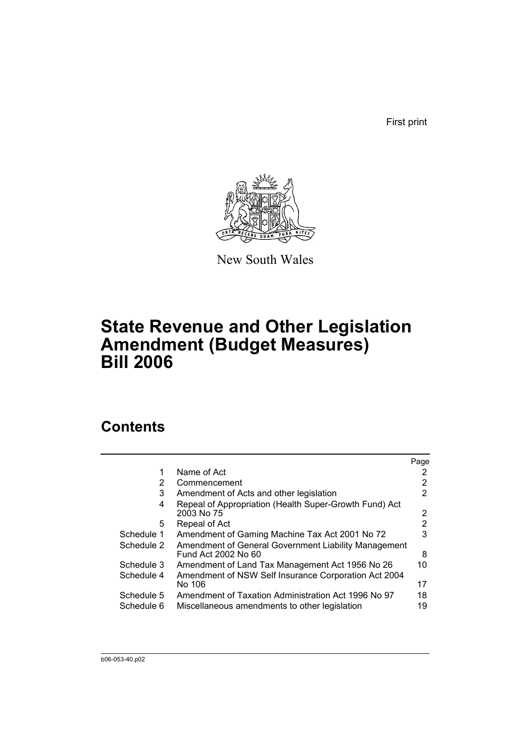First print



New South Wales

# **State Revenue and Other Legislation Amendment (Budget Measures) Bill 2006**

## **Contents**

|            |                                                                             | Page                  |
|------------|-----------------------------------------------------------------------------|-----------------------|
| 1          | Name of Act                                                                 | 2                     |
| 2          | Commencement                                                                | 2                     |
| 3          | Amendment of Acts and other legislation                                     | 2                     |
| 4          | Repeal of Appropriation (Health Super-Growth Fund) Act<br>2003 No 75        | $\mathbf{2}^{\prime}$ |
| 5          | Repeal of Act                                                               | 2                     |
| Schedule 1 | Amendment of Gaming Machine Tax Act 2001 No 72                              | 3                     |
| Schedule 2 | Amendment of General Government Liability Management<br>Fund Act 2002 No 60 | 8                     |
| Schedule 3 | Amendment of Land Tax Management Act 1956 No 26                             | 10                    |
| Schedule 4 | Amendment of NSW Self Insurance Corporation Act 2004<br>No 106              | 17                    |
| Schedule 5 | Amendment of Taxation Administration Act 1996 No 97                         | 18                    |
| Schedule 6 | Miscellaneous amendments to other legislation                               | 19                    |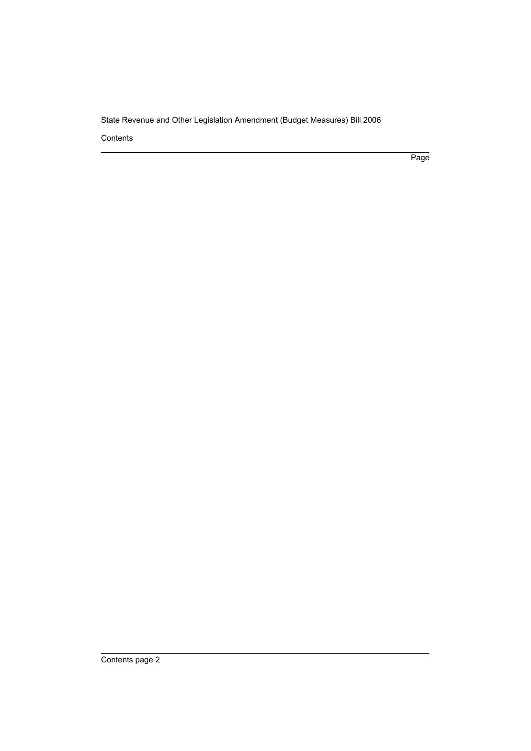Contents

Page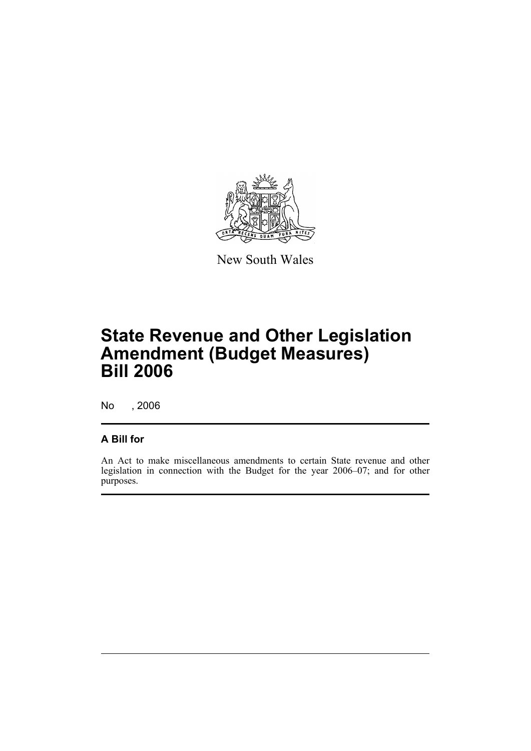

New South Wales

# **State Revenue and Other Legislation Amendment (Budget Measures) Bill 2006**

No , 2006

## **A Bill for**

An Act to make miscellaneous amendments to certain State revenue and other legislation in connection with the Budget for the year 2006–07; and for other purposes.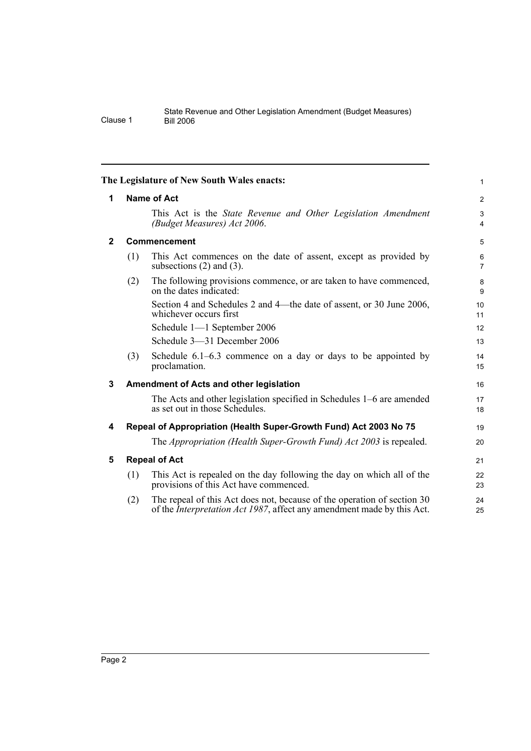|              |                    | The Legislature of New South Wales enacts:                                                                                                                | $\mathbf{1}$                     |  |  |  |  |
|--------------|--------------------|-----------------------------------------------------------------------------------------------------------------------------------------------------------|----------------------------------|--|--|--|--|
| 1            | <b>Name of Act</b> |                                                                                                                                                           |                                  |  |  |  |  |
|              |                    | This Act is the <i>State Revenue and Other Legislation Amendment</i><br>(Budget Measures) Act 2006.                                                       | $\mathfrak{S}$<br>$\overline{4}$ |  |  |  |  |
| $\mathbf{2}$ |                    | Commencement                                                                                                                                              | 5                                |  |  |  |  |
|              | (1)                | This Act commences on the date of assent, except as provided by<br>subsections $(2)$ and $(3)$ .                                                          | 6<br>$\overline{7}$              |  |  |  |  |
|              | (2)                | The following provisions commence, or are taken to have commenced,<br>on the dates indicated:                                                             | 8<br>9                           |  |  |  |  |
|              |                    | Section 4 and Schedules 2 and 4—the date of assent, or 30 June 2006,<br>whichever occurs first                                                            | 10<br>11                         |  |  |  |  |
|              |                    | Schedule 1-1 September 2006                                                                                                                               | 12                               |  |  |  |  |
|              |                    | Schedule 3-31 December 2006                                                                                                                               | 13                               |  |  |  |  |
|              | (3)                | Schedule $6.1-6.3$ commence on a day or days to be appointed by<br>proclamation.                                                                          | 14<br>15                         |  |  |  |  |
| 3            |                    | Amendment of Acts and other legislation                                                                                                                   | 16                               |  |  |  |  |
|              |                    | The Acts and other legislation specified in Schedules 1–6 are amended<br>as set out in those Schedules.                                                   | 17<br>18                         |  |  |  |  |
| 4            |                    | Repeal of Appropriation (Health Super-Growth Fund) Act 2003 No 75                                                                                         | 19                               |  |  |  |  |
|              |                    | The <i>Appropriation (Health Super-Growth Fund) Act 2003</i> is repealed.                                                                                 | 20                               |  |  |  |  |
| 5            |                    | <b>Repeal of Act</b>                                                                                                                                      | 21                               |  |  |  |  |
|              | (1)                | This Act is repealed on the day following the day on which all of the<br>provisions of this Act have commenced.                                           | 22<br>23                         |  |  |  |  |
|              | (2)                | The repeal of this Act does not, because of the operation of section 30<br>of the <i>Interpretation Act 1987</i> , affect any amendment made by this Act. | 24<br>25                         |  |  |  |  |
|              |                    |                                                                                                                                                           |                                  |  |  |  |  |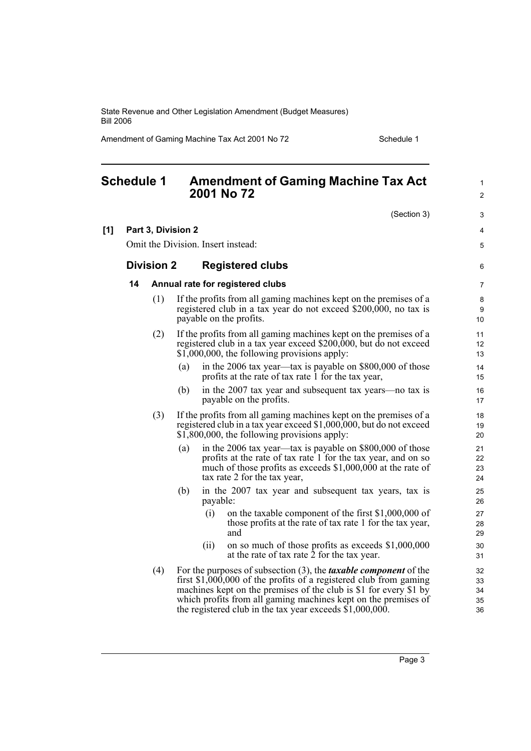Amendment of Gaming Machine Tax Act 2001 No 72 Schedule 1

|     | <b>Schedule 1</b> |                    |     | 2001 No 72                         | <b>Amendment of Gaming Machine Tax Act</b>                                                                                                                                                                                                                                                                                                            | $\mathbf{1}$<br>$\overline{2}$ |
|-----|-------------------|--------------------|-----|------------------------------------|-------------------------------------------------------------------------------------------------------------------------------------------------------------------------------------------------------------------------------------------------------------------------------------------------------------------------------------------------------|--------------------------------|
|     |                   |                    |     |                                    | (Section 3)                                                                                                                                                                                                                                                                                                                                           | 3                              |
| [1] |                   | Part 3, Division 2 |     |                                    |                                                                                                                                                                                                                                                                                                                                                       | 4                              |
|     |                   |                    |     | Omit the Division. Insert instead: |                                                                                                                                                                                                                                                                                                                                                       | 5                              |
|     |                   | <b>Division 2</b>  |     |                                    | <b>Registered clubs</b>                                                                                                                                                                                                                                                                                                                               | 6                              |
|     | 14                |                    |     |                                    | Annual rate for registered clubs                                                                                                                                                                                                                                                                                                                      | 7                              |
|     |                   | (1)                |     | payable on the profits.            | If the profits from all gaming machines kept on the premises of a<br>registered club in a tax year do not exceed \$200,000, no tax is                                                                                                                                                                                                                 | 8<br>9<br>10                   |
|     |                   | (2)                |     |                                    | If the profits from all gaming machines kept on the premises of a<br>registered club in a tax year exceed \$200,000, but do not exceed<br>\$1,000,000, the following provisions apply:                                                                                                                                                                | 11<br>12<br>13                 |
|     |                   |                    | (a) |                                    | in the 2006 tax year—tax is payable on \$800,000 of those<br>profits at the rate of tax rate 1 for the tax year,                                                                                                                                                                                                                                      | 14<br>15                       |
|     |                   |                    | (b) |                                    | in the 2007 tax year and subsequent tax years—no tax is<br>payable on the profits.                                                                                                                                                                                                                                                                    | 16<br>17                       |
|     |                   | (3)                |     |                                    | If the profits from all gaming machines kept on the premises of a<br>registered club in a tax year exceed \$1,000,000, but do not exceed<br>\$1,800,000, the following provisions apply:                                                                                                                                                              | 18<br>19<br>20                 |
|     |                   |                    | (a) |                                    | in the 2006 tax year-tax is payable on \$800,000 of those<br>profits at the rate of tax rate 1 for the tax year, and on so<br>much of those profits as exceeds \$1,000,000 at the rate of<br>tax rate 2 for the tax year,                                                                                                                             | 21<br>22<br>23<br>24           |
|     |                   |                    | (b) | payable:                           | in the 2007 tax year and subsequent tax years, tax is                                                                                                                                                                                                                                                                                                 | 25<br>26                       |
|     |                   |                    |     | (i)<br>and                         | on the taxable component of the first \$1,000,000 of<br>those profits at the rate of tax rate 1 for the tax year,                                                                                                                                                                                                                                     | 27<br>28<br>29                 |
|     |                   |                    |     | (ii)                               | on so much of those profits as exceeds \$1,000,000<br>at the rate of tax rate 2 for the tax year.                                                                                                                                                                                                                                                     | 30<br>31                       |
|     |                   | (4)                |     |                                    | For the purposes of subsection $(3)$ , the <i>taxable component</i> of the<br>first $$1,000,000$ of the profits of a registered club from gaming<br>machines kept on the premises of the club is \$1 for every \$1 by<br>which profits from all gaming machines kept on the premises of<br>the registered club in the tax year exceeds $$1,000,000$ . | 32<br>33<br>34<br>35<br>36     |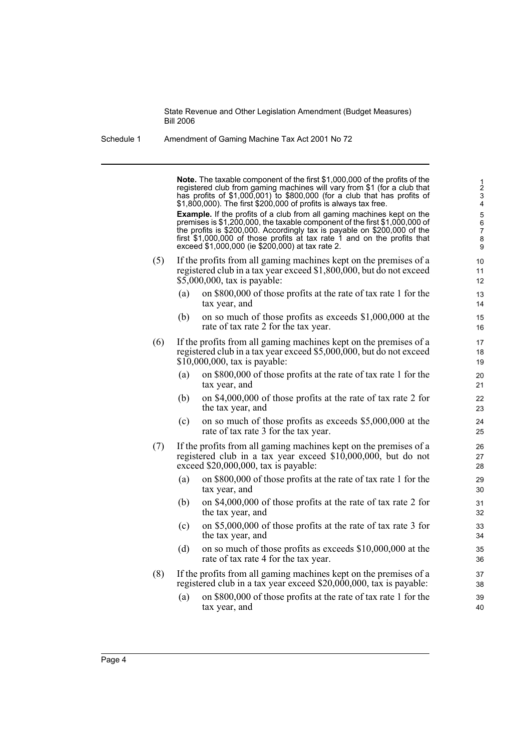| Schedule 1 | Amendment of Gaming Machine Tax Act 2001 No 72 |
|------------|------------------------------------------------|
|            |                                                |

**Note.** The taxable component of the first \$1,000,000 of the profits of the registered club from gaming machines will vary from \$1 (for a club that has profits of \$1,000,001) to \$800,000 (for a club that has profits of \$1,800,000). The first \$200,000 of profits is always tax free. **Example.** If the profits of a club from all gaming machines kept on the premises is \$1,200,000, the taxable component of the first \$1,000,000 of the profits is \$200,000. Accordingly tax is payable on \$200,000 of the first \$1,000,000 of those profits at tax rate 1 and on the profits that exceed \$1,000,000 (ie \$200,000) at tax rate 2. (5) If the profits from all gaming machines kept on the premises of a registered club in a tax year exceed \$1,800,000, but do not exceed \$5,000,000, tax is payable: (a) on \$800,000 of those profits at the rate of tax rate 1 for the tax year, and (b) on so much of those profits as exceeds \$1,000,000 at the rate of tax rate 2 for the tax year. (6) If the profits from all gaming machines kept on the premises of a registered club in a tax year exceed \$5,000,000, but do not exceed \$10,000,000, tax is payable: (a) on \$800,000 of those profits at the rate of tax rate 1 for the tax year, and (b) on \$4,000,000 of those profits at the rate of tax rate 2 for the tax year, and (c) on so much of those profits as exceeds \$5,000,000 at the rate of tax rate 3 for the tax year. (7) If the profits from all gaming machines kept on the premises of a registered club in a tax year exceed \$10,000,000, but do not exceed \$20,000,000, tax is payable: (a) on \$800,000 of those profits at the rate of tax rate 1 for the tax year, and (b) on \$4,000,000 of those profits at the rate of tax rate 2 for the tax year, and (c) on \$5,000,000 of those profits at the rate of tax rate 3 for the tax year, and (d) on so much of those profits as exceeds \$10,000,000 at the rate of tax rate 4 for the tax year. (8) If the profits from all gaming machines kept on the premises of a registered club in a tax year exceed \$20,000,000, tax is payable: (a) on \$800,000 of those profits at the rate of tax rate 1 for the tax year, and 1 2 3 4 5 6 7 8 9  $10$ 11 12 13 14 15 16 17 18 19 20 21 22 23  $24$ 25 26 27 28 29 30 31 32 33 34 35 36 37 38 39 40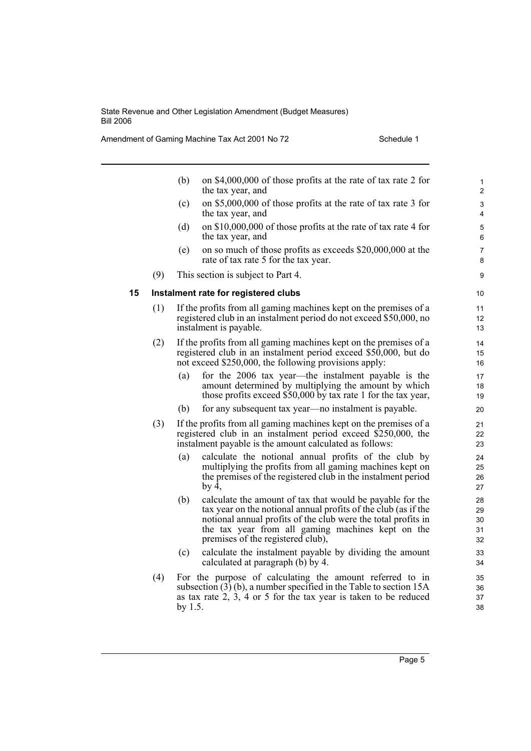Amendment of Gaming Machine Tax Act 2001 No 72 Schedule 1

|    |     | (b)     | on \$4,000,000 of those profits at the rate of tax rate 2 for<br>the tax year, and                                                                                                                                                                                                     | $\mathbf{1}$<br>2          |
|----|-----|---------|----------------------------------------------------------------------------------------------------------------------------------------------------------------------------------------------------------------------------------------------------------------------------------------|----------------------------|
|    |     | (c)     | on \$5,000,000 of those profits at the rate of tax rate 3 for<br>the tax year, and                                                                                                                                                                                                     | 3<br>4                     |
|    |     | (d)     | on \$10,000,000 of those profits at the rate of tax rate 4 for<br>the tax year, and                                                                                                                                                                                                    | 5<br>6                     |
|    |     | (e)     | on so much of those profits as exceeds \$20,000,000 at the<br>rate of tax rate 5 for the tax year.                                                                                                                                                                                     | 7<br>8                     |
|    | (9) |         | This section is subject to Part 4.                                                                                                                                                                                                                                                     | 9                          |
| 15 |     |         | Instalment rate for registered clubs                                                                                                                                                                                                                                                   | 10                         |
|    | (1) |         | If the profits from all gaming machines kept on the premises of a<br>registered club in an instalment period do not exceed \$50,000, no<br>instalment is payable.                                                                                                                      | 11<br>12<br>13             |
|    | (2) |         | If the profits from all gaming machines kept on the premises of a<br>registered club in an instalment period exceed \$50,000, but do<br>not exceed \$250,000, the following provisions apply:                                                                                          | 14<br>15<br>16             |
|    |     | (a)     | for the 2006 tax year—the instalment payable is the<br>amount determined by multiplying the amount by which<br>those profits exceed \$50,000 by tax rate 1 for the tax year,                                                                                                           | 17<br>18<br>19             |
|    |     | (b)     | for any subsequent tax year—no instalment is payable.                                                                                                                                                                                                                                  | 20                         |
|    | (3) |         | If the profits from all gaming machines kept on the premises of a<br>registered club in an instalment period exceed \$250,000, the<br>instalment payable is the amount calculated as follows:                                                                                          | 21<br>22<br>23             |
|    |     | (a)     | calculate the notional annual profits of the club by<br>multiplying the profits from all gaming machines kept on<br>the premises of the registered club in the instalment period<br>by $4,$                                                                                            | 24<br>25<br>26<br>27       |
|    |     | (b)     | calculate the amount of tax that would be payable for the<br>tax year on the notional annual profits of the club (as if the<br>notional annual profits of the club were the total profits in<br>the tax year from all gaming machines kept on the<br>premises of the registered club), | 28<br>29<br>30<br>31<br>32 |
|    |     | (c)     | calculate the instalment payable by dividing the amount<br>calculated at paragraph $(b)$ by 4.                                                                                                                                                                                         | 33<br>34                   |
|    | (4) | by 1.5. | For the purpose of calculating the amount referred to in<br>subsection $(3)$ (b), a number specified in the Table to section 15A<br>as tax rate $2, 3, 4$ or 5 for the tax year is taken to be reduced                                                                                 | 35<br>36<br>37<br>38       |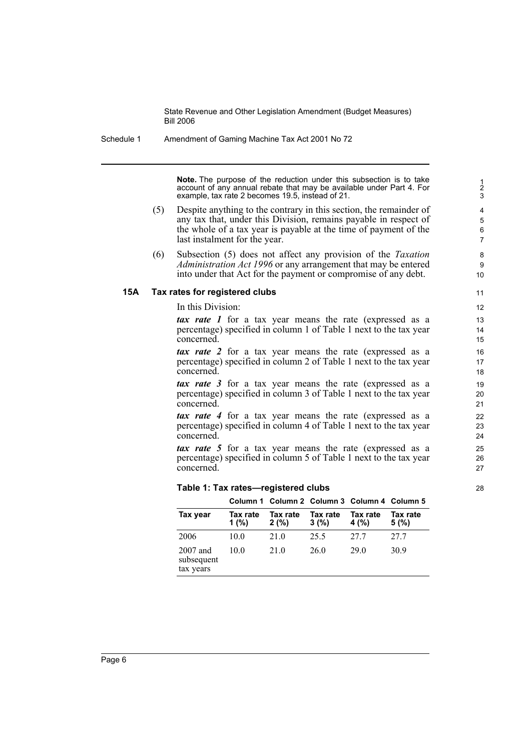Schedule 1 Amendment of Gaming Machine Tax Act 2001 No 72

**Note.** The purpose of the reduction under this subsection is to take account of any annual rebate that may be available under Part 4. For example, tax rate 2 becomes 19.5, instead of 21.

- (5) Despite anything to the contrary in this section, the remainder of any tax that, under this Division, remains payable in respect of the whole of a tax year is payable at the time of payment of the last instalment for the year.
- (6) Subsection (5) does not affect any provision of the *Taxation Administration Act 1996* or any arrangement that may be entered into under that Act for the payment or compromise of any debt.

#### **15A Tax rates for registered clubs**

In this Division:

*tax rate 1* for a tax year means the rate (expressed as a percentage) specified in column 1 of Table 1 next to the tax year concerned.

*tax rate 2* for a tax year means the rate (expressed as a percentage) specified in column 2 of Table 1 next to the tax year concerned.

*tax rate 3* for a tax year means the rate (expressed as a percentage) specified in column 3 of Table 1 next to the tax year concerned.

*tax rate 4* for a tax year means the rate (expressed as a percentage) specified in column 4 of Table 1 next to the tax year concerned.

*tax rate 5* for a tax year means the rate (expressed as a percentage) specified in column 5 of Table 1 next to the tax year concerned.

#### **Table 1: Tax rates—registered clubs**

|                                       |                      |                  |                  | Column 1 Column 2 Column 3 Column 4 Column 5 |                  |
|---------------------------------------|----------------------|------------------|------------------|----------------------------------------------|------------------|
| Tax year                              | Tax rate<br>1 $(% )$ | Tax rate<br>2(%) | Tax rate<br>3(%) | Tax rate<br>4 (%)                            | Tax rate<br>5(%) |
| 2006                                  | 10.0                 | 21.0             | 25.5             | 27.7                                         | 27.7             |
| $2007$ and<br>subsequent<br>tax years | 10 0                 | 21.0             | 26.0             | 29 O                                         | 30.9             |

23 24 25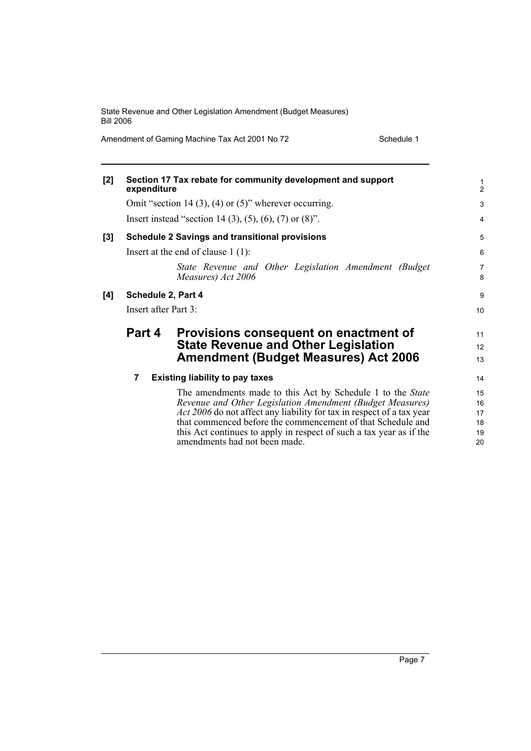Amendment of Gaming Machine Tax Act 2001 No 72 Schedule 1

| [2] | expenditure          | Section 17 Tax rebate for community development and support                                                                          | $\frac{1}{2}$       |  |  |  |
|-----|----------------------|--------------------------------------------------------------------------------------------------------------------------------------|---------------------|--|--|--|
|     |                      | Omit "section 14 (3), (4) or (5)" wherever occurring.                                                                                | 3                   |  |  |  |
|     |                      | Insert instead "section 14 (3), (5), (6), (7) or (8)".                                                                               | $\overline{4}$      |  |  |  |
| [3] |                      | <b>Schedule 2 Savings and transitional provisions</b>                                                                                | 5                   |  |  |  |
|     |                      | Insert at the end of clause $1(1)$ :                                                                                                 | $6\phantom{1}6$     |  |  |  |
|     |                      | State Revenue and Other Legislation Amendment (Budget<br>Measures) Act 2006                                                          | $\overline{7}$<br>8 |  |  |  |
| [4] | Schedule 2, Part 4   |                                                                                                                                      | 9                   |  |  |  |
|     | Insert after Part 3: |                                                                                                                                      |                     |  |  |  |
|     | Part 4               | Provisions consequent on enactment of                                                                                                | 11                  |  |  |  |
|     |                      | <b>State Revenue and Other Legislation</b>                                                                                           | 12                  |  |  |  |
|     |                      | <b>Amendment (Budget Measures) Act 2006</b>                                                                                          | 13                  |  |  |  |
|     | 7                    | <b>Existing liability to pay taxes</b>                                                                                               | 14                  |  |  |  |
|     |                      | The amendments made to this Act by Schedule 1 to the State                                                                           | 15                  |  |  |  |
|     |                      | Revenue and Other Legislation Amendment (Budget Measures)                                                                            | 16                  |  |  |  |
|     |                      | Act 2006 do not affect any liability for tax in respect of a tax year<br>that commenced before the commencement of that Schedule and | 17<br>18            |  |  |  |
|     |                      | this Act continues to apply in respect of such a tax year as if the                                                                  | 19                  |  |  |  |
|     |                      | amendments had not been made.                                                                                                        | 20                  |  |  |  |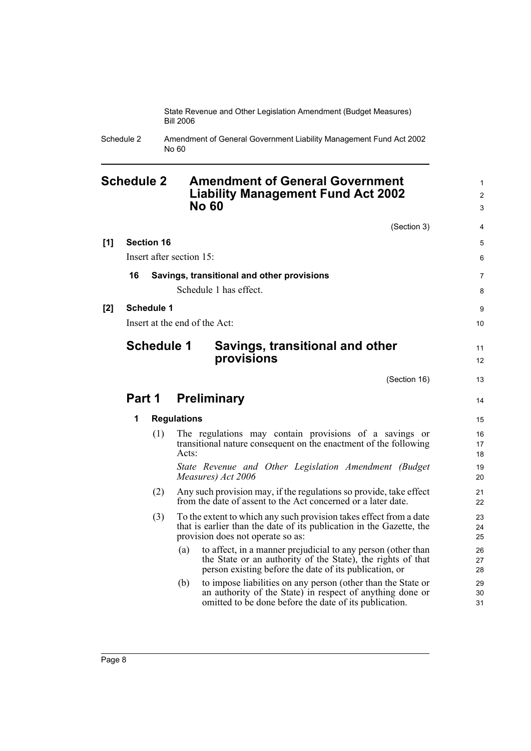> 1  $\mathfrak{p}$ 3

4 5 6

7 8

9

Schedule 2 Amendment of General Government Liability Management Fund Act 2002 No 60

## **Schedule 2 Amendment of General Government Liability Management Fund Act 2002 No 60**

(Section 3) **[1] Section 16** Insert after section 15: **16 Savings, transitional and other provisions** Schedule 1 has effect. **[2] Schedule 1** Insert at the end of the Act: **Schedule 1 Savings, transitional and other provisions** (Section 16) **Part 1 Preliminary 1 Regulations** (1) The regulations may contain provisions of a savings or transitional nature consequent on the enactment of the following Acts: *State Revenue and Other Legislation Amendment (Budget Measures) Act 2006* (2) Any such provision may, if the regulations so provide, take effect from the date of assent to the Act concerned or a later date. (3) To the extent to which any such provision takes effect from a date that is earlier than the date of its publication in the Gazette, the provision does not operate so as: (a) to affect, in a manner prejudicial to any person (other than the State or an authority of the State), the rights of that 10 11 12 13 14 15 16 17 18 19 20 21 22 23  $24$ 25 26 27

person existing before the date of its publication, or (b) to impose liabilities on any person (other than the State or an authority of the State) in respect of anything done or omitted to be done before the date of its publication.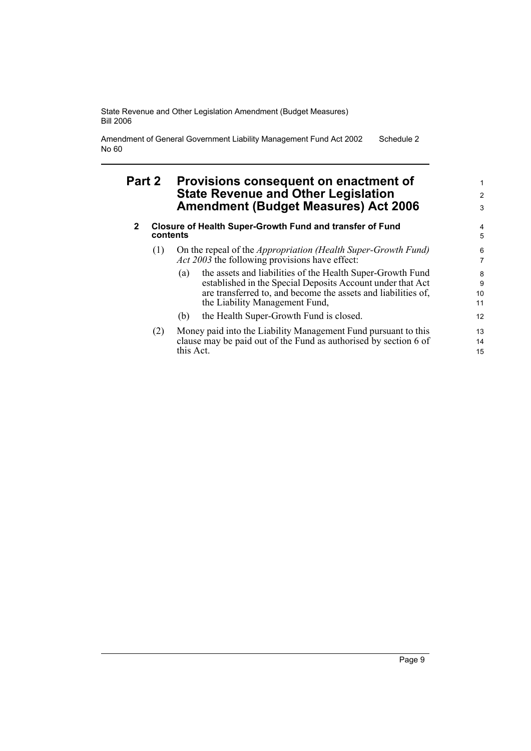Amendment of General Government Liability Management Fund Act 2002 No 60 Schedule 2

## **Part 2 Provisions consequent on enactment of State Revenue and Other Legislation Amendment (Budget Measures) Act 2006**

#### **2 Closure of Health Super-Growth Fund and transfer of Fund contents**

- (1) On the repeal of the *Appropriation (Health Super-Growth Fund) Act 2003* the following provisions have effect:
	- (a) the assets and liabilities of the Health Super-Growth Fund established in the Special Deposits Account under that Act are transferred to, and become the assets and liabilities of, the Liability Management Fund,
	- (b) the Health Super-Growth Fund is closed.
- (2) Money paid into the Liability Management Fund pursuant to this clause may be paid out of the Fund as authorised by section 6 of this Act.

1 2 3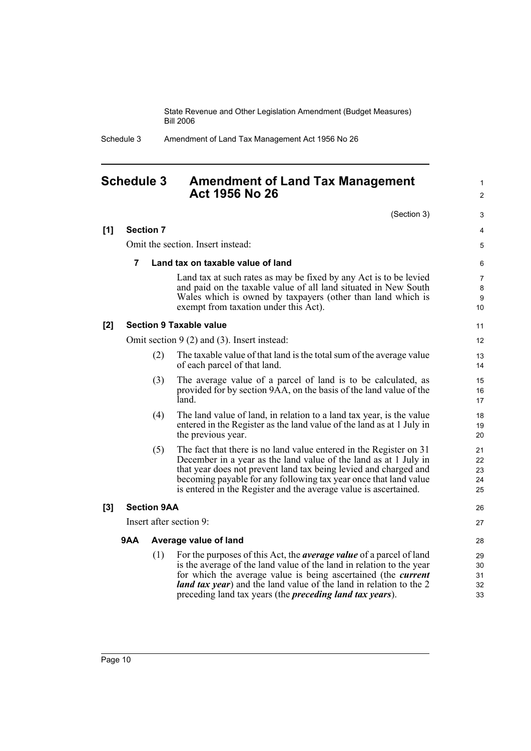Schedule 3 Amendment of Land Tax Management Act 1956 No 26

## **Schedule 3 Amendment of Land Tax Management Act 1956 No 26**

(Section 3)

|       |                                   |                    | (Section 3)                                                                                                                                                                                                                                                                                                                                                                  | 3                              |  |  |
|-------|-----------------------------------|--------------------|------------------------------------------------------------------------------------------------------------------------------------------------------------------------------------------------------------------------------------------------------------------------------------------------------------------------------------------------------------------------------|--------------------------------|--|--|
| [1]   | <b>Section 7</b>                  |                    |                                                                                                                                                                                                                                                                                                                                                                              | 4                              |  |  |
|       | Omit the section. Insert instead: |                    |                                                                                                                                                                                                                                                                                                                                                                              |                                |  |  |
|       | $\overline{7}$                    |                    | Land tax on taxable value of land                                                                                                                                                                                                                                                                                                                                            | 6                              |  |  |
|       |                                   |                    | Land tax at such rates as may be fixed by any Act is to be levied<br>and paid on the taxable value of all land situated in New South<br>Wales which is owned by taxpayers (other than land which is<br>exempt from taxation under this Act).                                                                                                                                 | $\overline{7}$<br>8<br>9<br>10 |  |  |
| $[2]$ |                                   |                    | <b>Section 9 Taxable value</b>                                                                                                                                                                                                                                                                                                                                               | 11                             |  |  |
|       |                                   |                    | Omit section $9(2)$ and (3). Insert instead:                                                                                                                                                                                                                                                                                                                                 | 12                             |  |  |
|       |                                   | (2)                | The taxable value of that land is the total sum of the average value<br>of each parcel of that land.                                                                                                                                                                                                                                                                         | 13<br>14                       |  |  |
|       |                                   | (3)                | The average value of a parcel of land is to be calculated, as<br>provided for by section 9AA, on the basis of the land value of the<br>land.                                                                                                                                                                                                                                 | 15<br>16<br>17                 |  |  |
|       |                                   | (4)                | The land value of land, in relation to a land tax year, is the value<br>entered in the Register as the land value of the land as at 1 July in<br>the previous year.                                                                                                                                                                                                          | 18<br>19<br>20                 |  |  |
|       |                                   | (5)                | The fact that there is no land value entered in the Register on 31<br>December in a year as the land value of the land as at 1 July in<br>that year does not prevent land tax being levied and charged and<br>becoming payable for any following tax year once that land value<br>is entered in the Register and the average value is ascertained.                           | 21<br>22<br>23<br>24<br>25     |  |  |
| $[3]$ |                                   | <b>Section 9AA</b> |                                                                                                                                                                                                                                                                                                                                                                              | 26                             |  |  |
|       |                                   |                    | Insert after section 9:                                                                                                                                                                                                                                                                                                                                                      | 27                             |  |  |
|       | <b>9AA</b>                        |                    | Average value of land                                                                                                                                                                                                                                                                                                                                                        | 28                             |  |  |
|       |                                   | (1)                | For the purposes of this Act, the <i>average value</i> of a parcel of land<br>is the average of the land value of the land in relation to the year<br>for which the average value is being ascertained (the <i>current</i><br><i>land tax year</i> ) and the land value of the land in relation to the 2<br>preceding land tax years (the <i>preceding land tax years</i> ). | 29<br>30<br>31<br>32<br>33     |  |  |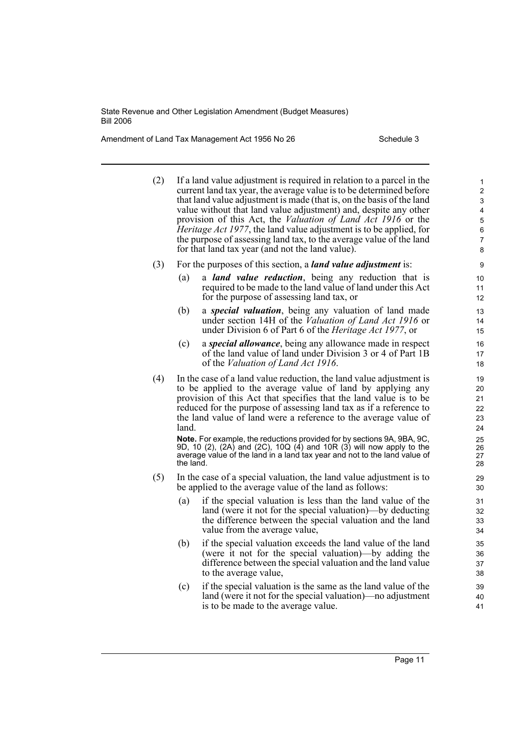Amendment of Land Tax Management Act 1956 No 26 Schedule 3

| (2) |                                                                                                                                                                                                                                        | If a land value adjustment is required in relation to a parcel in the<br>current land tax year, the average value is to be determined before<br>that land value adjustment is made (that is, on the basis of the land<br>value without that land value adjustment) and, despite any other<br>provision of this Act, the Valuation of Land Act 1916 or the<br><i>Heritage Act 1977</i> , the land value adjustment is to be applied, for<br>the purpose of assessing land tax, to the average value of the land<br>for that land tax year (and not the land value). | 1<br>2<br>3<br>4<br>$\mathbf 5$<br>6<br>7<br>8 |  |  |  |
|-----|----------------------------------------------------------------------------------------------------------------------------------------------------------------------------------------------------------------------------------------|--------------------------------------------------------------------------------------------------------------------------------------------------------------------------------------------------------------------------------------------------------------------------------------------------------------------------------------------------------------------------------------------------------------------------------------------------------------------------------------------------------------------------------------------------------------------|------------------------------------------------|--|--|--|
| (3) |                                                                                                                                                                                                                                        | For the purposes of this section, a <i>land value adjustment</i> is:                                                                                                                                                                                                                                                                                                                                                                                                                                                                                               | 9                                              |  |  |  |
|     | (a)                                                                                                                                                                                                                                    | a <i>land value reduction</i> , being any reduction that is<br>required to be made to the land value of land under this Act<br>for the purpose of assessing land tax, or                                                                                                                                                                                                                                                                                                                                                                                           | 10<br>11<br>$12 \overline{ }$                  |  |  |  |
|     | (b)                                                                                                                                                                                                                                    | a <i>special valuation</i> , being any valuation of land made<br>under section 14H of the Valuation of Land Act 1916 or<br>under Division 6 of Part 6 of the <i>Heritage Act 1977</i> , or                                                                                                                                                                                                                                                                                                                                                                         | 13<br>14<br>15                                 |  |  |  |
|     | (c)                                                                                                                                                                                                                                    | a <i>special allowance</i> , being any allowance made in respect<br>of the land value of land under Division 3 or 4 of Part 1B<br>of the Valuation of Land Act 1916.                                                                                                                                                                                                                                                                                                                                                                                               | 16<br>17<br>18                                 |  |  |  |
| (4) | land.                                                                                                                                                                                                                                  | In the case of a land value reduction, the land value adjustment is<br>to be applied to the average value of land by applying any<br>provision of this Act that specifies that the land value is to be<br>reduced for the purpose of assessing land tax as if a reference to<br>the land value of land were a reference to the average value of                                                                                                                                                                                                                    | 19<br>20<br>21<br>22<br>23<br>24               |  |  |  |
|     | Note. For example, the reductions provided for by sections 9A, 9BA, 9C,<br>9D, 10 (2), (2A) and (2C), 10Q (4) and 10R (3) will now apply to the average value of the land in a land tax year and not to the land value of<br>the land. |                                                                                                                                                                                                                                                                                                                                                                                                                                                                                                                                                                    |                                                |  |  |  |
| (5) |                                                                                                                                                                                                                                        | In the case of a special valuation, the land value adjustment is to<br>be applied to the average value of the land as follows:                                                                                                                                                                                                                                                                                                                                                                                                                                     | 29<br>30                                       |  |  |  |
|     | (a)                                                                                                                                                                                                                                    | if the special valuation is less than the land value of the<br>land (were it not for the special valuation)—by deducting<br>the difference between the special valuation and the land<br>value from the average value,                                                                                                                                                                                                                                                                                                                                             | 31<br>32<br>33<br>34                           |  |  |  |
|     | (b)                                                                                                                                                                                                                                    | if the special valuation exceeds the land value of the land<br>(were it not for the special valuation)—by adding the<br>difference between the special valuation and the land value<br>to the average value,                                                                                                                                                                                                                                                                                                                                                       | 35<br>36<br>37<br>38                           |  |  |  |
|     | (c)                                                                                                                                                                                                                                    | if the special valuation is the same as the land value of the<br>land (were it not for the special valuation)—no adjustment<br>is to be made to the average value.                                                                                                                                                                                                                                                                                                                                                                                                 | 39<br>40<br>41                                 |  |  |  |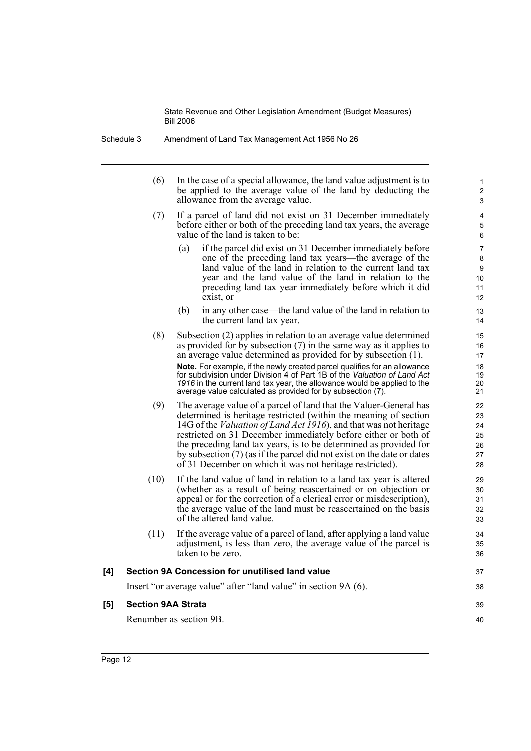Schedule 3 Amendment of Land Tax Management Act 1956 No 26

(6) In the case of a special allowance, the land value adjustment is to be applied to the average value of the land by deducting the allowance from the average value.

37 38

39 40

- (7) If a parcel of land did not exist on 31 December immediately before either or both of the preceding land tax years, the average value of the land is taken to be:
	- (a) if the parcel did exist on 31 December immediately before one of the preceding land tax years—the average of the land value of the land in relation to the current land tax year and the land value of the land in relation to the preceding land tax year immediately before which it did exist, or
	- (b) in any other case—the land value of the land in relation to the current land tax year.
- (8) Subsection (2) applies in relation to an average value determined as provided for by subsection  $(7)$  in the same way as it applies to an average value determined as provided for by subsection (1).

**Note.** For example, if the newly created parcel qualifies for an allowance for subdivision under Division 4 of Part 1B of the *Valuation of Land Act 1916* in the current land tax year, the allowance would be applied to the average value calculated as provided for by subsection (7).

- (9) The average value of a parcel of land that the Valuer-General has determined is heritage restricted (within the meaning of section 14G of the *Valuation of Land Act 1916*), and that was not heritage restricted on 31 December immediately before either or both of the preceding land tax years, is to be determined as provided for by subsection (7) (as if the parcel did not exist on the date or dates of 31 December on which it was not heritage restricted).
- (10) If the land value of land in relation to a land tax year is altered (whether as a result of being reascertained or on objection or appeal or for the correction of a clerical error or misdescription), the average value of the land must be reascertained on the basis of the altered land value.
- (11) If the average value of a parcel of land, after applying a land value adjustment, is less than zero, the average value of the parcel is taken to be zero.

# **[4] Section 9A Concession for unutilised land value**

Insert "or average value" after "land value" in section 9A (6).

#### **[5] Section 9AA Strata**

Renumber as section 9B.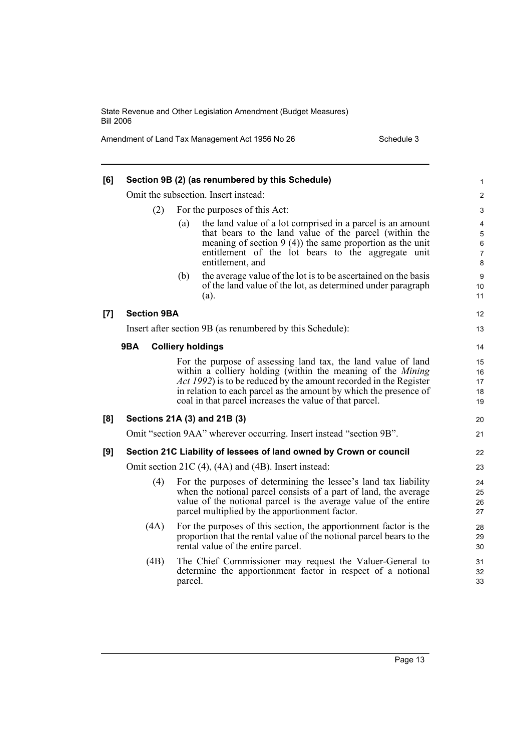Amendment of Land Tax Management Act 1956 No 26 Schedule 3

| [6]   |                    |         | Section 9B (2) (as renumbered by this Schedule)                                                                                                                                                                                                                                                                                                  | 1                                                  |
|-------|--------------------|---------|--------------------------------------------------------------------------------------------------------------------------------------------------------------------------------------------------------------------------------------------------------------------------------------------------------------------------------------------------|----------------------------------------------------|
|       |                    |         | Omit the subsection. Insert instead:                                                                                                                                                                                                                                                                                                             | 2                                                  |
|       | (2)                |         | For the purposes of this Act:                                                                                                                                                                                                                                                                                                                    | 3                                                  |
|       |                    | (a)     | the land value of a lot comprised in a parcel is an amount<br>that bears to the land value of the parcel (within the<br>meaning of section $9(4)$ the same proportion as the unit<br>entitlement of the lot bears to the aggregate unit<br>entitlement, and                                                                                      | 4<br>$\mathbf 5$<br>$\,6\,$<br>$\overline{7}$<br>8 |
|       |                    | (b)     | the average value of the lot is to be ascertained on the basis<br>of the land value of the lot, as determined under paragraph<br>$(a)$ .                                                                                                                                                                                                         | $\boldsymbol{9}$<br>10<br>11                       |
| $[7]$ | <b>Section 9BA</b> |         |                                                                                                                                                                                                                                                                                                                                                  | 12                                                 |
|       |                    |         | Insert after section 9B (as renumbered by this Schedule):                                                                                                                                                                                                                                                                                        | 13                                                 |
|       | 9BA                |         | <b>Colliery holdings</b>                                                                                                                                                                                                                                                                                                                         | 14                                                 |
|       |                    |         | For the purpose of assessing land tax, the land value of land<br>within a colliery holding (within the meaning of the <i>Mining</i><br><i>Act 1992</i> ) is to be reduced by the amount recorded in the Register<br>in relation to each parcel as the amount by which the presence of<br>coal in that parcel increases the value of that parcel. | 15<br>16<br>17<br>18<br>19                         |
| [8]   |                    |         | Sections 21A (3) and 21B (3)                                                                                                                                                                                                                                                                                                                     | 20                                                 |
|       |                    |         | Omit "section 9AA" wherever occurring. Insert instead "section 9B".                                                                                                                                                                                                                                                                              | 21                                                 |
| [9]   |                    |         | Section 21C Liability of lessees of land owned by Crown or council                                                                                                                                                                                                                                                                               | 22                                                 |
|       |                    |         | Omit section 21C (4), (4A) and (4B). Insert instead:                                                                                                                                                                                                                                                                                             | 23                                                 |
|       | (4)                |         | For the purposes of determining the lessee's land tax liability<br>when the notional parcel consists of a part of land, the average<br>value of the notional parcel is the average value of the entire<br>parcel multiplied by the apportionment factor.                                                                                         | 24<br>25<br>26<br>27                               |
|       | (4A)               |         | For the purposes of this section, the apportionment factor is the<br>proportion that the rental value of the notional parcel bears to the<br>rental value of the entire parcel.                                                                                                                                                                  | 28<br>29<br>30                                     |
|       | (4B)               | parcel. | The Chief Commissioner may request the Valuer-General to<br>determine the apportionment factor in respect of a notional                                                                                                                                                                                                                          | 31<br>32<br>33                                     |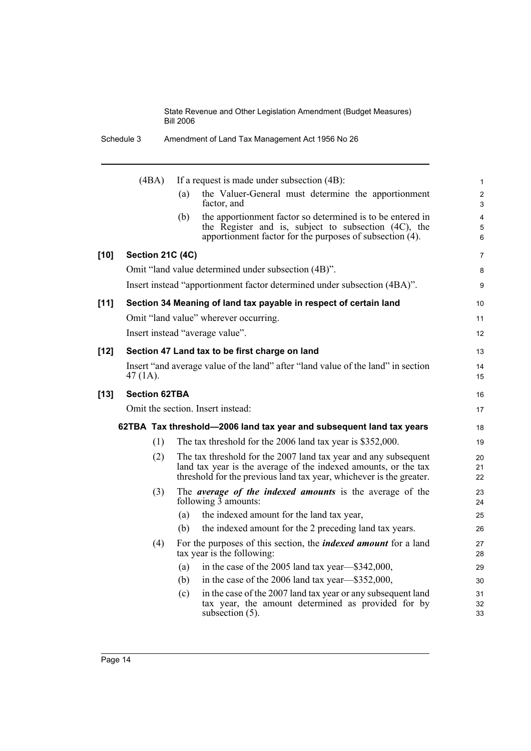|        | Schedule 3           | Amendment of Land Tax Management Act 1956 No 26                                                                                                                                                           |  |
|--------|----------------------|-----------------------------------------------------------------------------------------------------------------------------------------------------------------------------------------------------------|--|
|        | (4BA)                | If a request is made under subsection (4B):                                                                                                                                                               |  |
|        |                      | the Valuer-General must determine the apportionment<br>(a)<br>factor, and                                                                                                                                 |  |
|        |                      | the apportionment factor so determined is to be entered in<br>(b)<br>the Register and is, subject to subsection (4C), the<br>apportionment factor for the purposes of subsection (4).                     |  |
| $[10]$ | Section 21C (4C)     |                                                                                                                                                                                                           |  |
|        |                      | Omit "land value determined under subsection (4B)".                                                                                                                                                       |  |
|        |                      | Insert instead "apportionment factor determined under subsection (4BA)".                                                                                                                                  |  |
| $[11]$ |                      | Section 34 Meaning of land tax payable in respect of certain land                                                                                                                                         |  |
|        |                      | Omit "land value" wherever occurring.                                                                                                                                                                     |  |
|        |                      | Insert instead "average value".                                                                                                                                                                           |  |
| $[12]$ |                      | Section 47 Land tax to be first charge on land                                                                                                                                                            |  |
|        | 47 $(1A)$ .          | Insert "and average value of the land" after "land value of the land" in section                                                                                                                          |  |
| $[13]$ | <b>Section 62TBA</b> |                                                                                                                                                                                                           |  |
|        |                      | Omit the section. Insert instead:                                                                                                                                                                         |  |
|        |                      | 62TBA Tax threshold—2006 land tax year and subsequent land tax years                                                                                                                                      |  |
|        | (1)                  | The tax threshold for the 2006 land tax year is \$352,000.                                                                                                                                                |  |
|        | (2)                  | The tax threshold for the 2007 land tax year and any subsequent<br>land tax year is the average of the indexed amounts, or the tax<br>threshold for the previous land tax year, whichever is the greater. |  |
|        | (3)                  | The <i>average of the indexed amounts</i> is the average of the<br>following $\overline{3}$ amounts:                                                                                                      |  |
|        |                      | the indexed amount for the land tax year,<br>(a)                                                                                                                                                          |  |
|        |                      | the indexed amount for the 2 preceding land tax years.<br>(b)                                                                                                                                             |  |
|        | (4)                  | For the purposes of this section, the <i>indexed amount</i> for a land<br>tax year is the following:                                                                                                      |  |
|        |                      | in the case of the 2005 land tax year—\$342,000,<br>(a)                                                                                                                                                   |  |
|        |                      | in the case of the 2006 land tax year—\$352,000,<br>(b)                                                                                                                                                   |  |
|        |                      | in the case of the 2007 land tax year or any subsequent land<br>(c)<br>tax year, the amount determined as provided for by<br>subsection $(5)$ .                                                           |  |
|        |                      |                                                                                                                                                                                                           |  |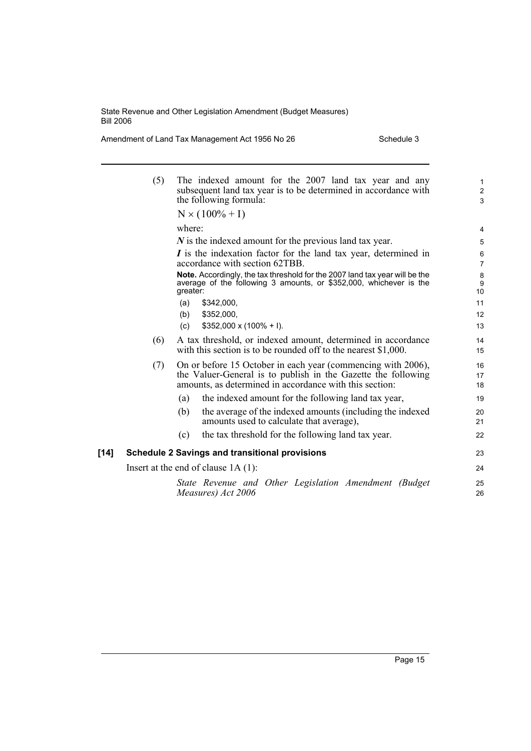Amendment of Land Tax Management Act 1956 No 26 Schedule 3

|        | (5) | The indexed amount for the 2007 land tax year and any<br>subsequent land tax year is to be determined in accordance with<br>the following formula:<br>$N \times (100\% + I)$             | $\mathbf{1}$<br>2<br>3    |
|--------|-----|------------------------------------------------------------------------------------------------------------------------------------------------------------------------------------------|---------------------------|
|        |     |                                                                                                                                                                                          |                           |
|        |     | where:                                                                                                                                                                                   | 4                         |
|        |     | $N$ is the indexed amount for the previous land tax year.                                                                                                                                | 5                         |
|        |     | I is the indexation factor for the land tax year, determined in<br>accordance with section 62TBB.                                                                                        | 6<br>$\overline{7}$       |
|        |     | Note. Accordingly, the tax threshold for the 2007 land tax year will be the<br>average of the following 3 amounts, or \$352,000, whichever is the<br>greater:                            | 8<br>9<br>10 <sup>1</sup> |
|        |     | \$342,000,<br>(a)                                                                                                                                                                        | 11                        |
|        |     | \$352,000,<br>(b)                                                                                                                                                                        | 12 <sup>2</sup>           |
|        |     | $$352,000 \times (100\% + I).$<br>(c)                                                                                                                                                    | 13                        |
|        | (6) | A tax threshold, or indexed amount, determined in accordance<br>with this section is to be rounded off to the nearest \$1,000.                                                           | 14<br>15                  |
|        | (7) | On or before 15 October in each year (commencing with 2006),<br>the Valuer-General is to publish in the Gazette the following<br>amounts, as determined in accordance with this section: | 16<br>17<br>18            |
|        |     | the indexed amount for the following land tax year,<br>(a)                                                                                                                               | 19                        |
|        |     | the average of the indexed amounts (including the indexed<br>(b)<br>amounts used to calculate that average),                                                                             | 20<br>21                  |
|        |     | the tax threshold for the following land tax year.<br>(c)                                                                                                                                | 22                        |
| $[14]$ |     | <b>Schedule 2 Savings and transitional provisions</b>                                                                                                                                    | 23                        |
|        |     | Insert at the end of clause $1A(1)$ :                                                                                                                                                    | 24                        |
|        |     | State Revenue and Other Legislation Amendment (Budget<br>Measures) Act 2006                                                                                                              | 25<br>26                  |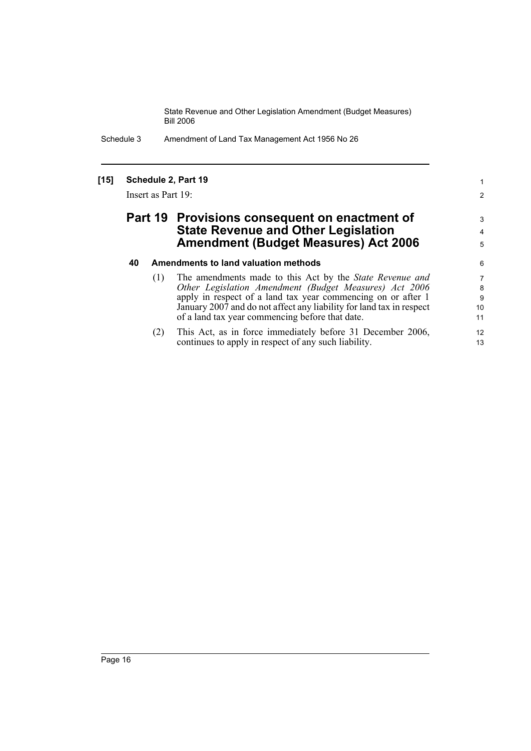Schedule 3 Amendment of Land Tax Management Act 1956 No 26

### **[15] Schedule 2, Part 19**

Insert as Part 19:

## **Part 19 Provisions consequent on enactment of State Revenue and Other Legislation Amendment (Budget Measures) Act 2006**

#### **40 Amendments to land valuation methods**

| (1) | The amendments made to this Act by the State Revenue and             |    |
|-----|----------------------------------------------------------------------|----|
|     | Other Legislation Amendment (Budget Measures) Act 2006               | 8  |
|     | apply in respect of a land tax year commencing on or after 1         | 9  |
|     | January 2007 and do not affect any liability for land tax in respect | 10 |
|     | of a land tax year commencing before that date.                      | 11 |
| (2) | This Act, as in force immediately before 31 December 2006,           | 12 |
|     | continues to apply in respect of any such liability.                 | 13 |

1 2

3 4 5

6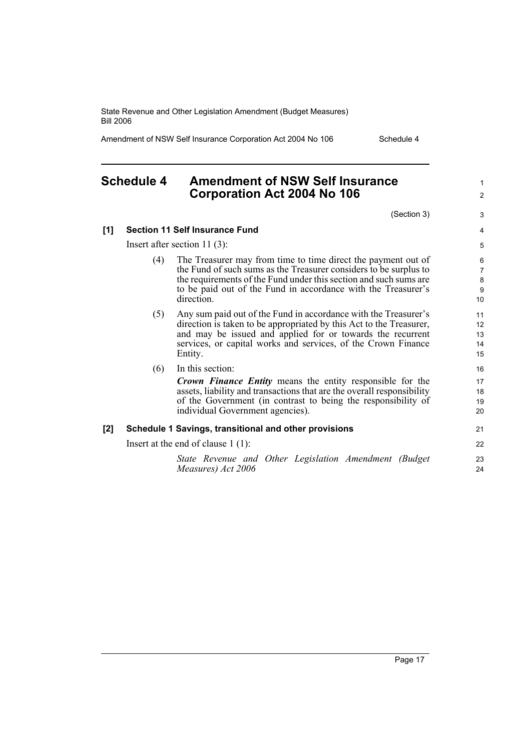Amendment of NSW Self Insurance Corporation Act 2004 No 106 Schedule 4

## **Schedule 4 Amendment of NSW Self Insurance Corporation Act 2004 No 106**

1 2

| (Section 3)                                                                                                                                                                                                                                                                            | 3                                                  |
|----------------------------------------------------------------------------------------------------------------------------------------------------------------------------------------------------------------------------------------------------------------------------------------|----------------------------------------------------|
| Self Insurance Fund                                                                                                                                                                                                                                                                    | $\overline{4}$                                     |
| ection $11(3)$ :                                                                                                                                                                                                                                                                       | 5                                                  |
| The Treasurer may from time to time direct the payment out of<br>the Fund of such sums as the Treasurer considers to be surplus to<br>the requirements of the Fund under this section and such sums are<br>to be paid out of the Fund in accordance with the Treasurer's<br>direction. | 6<br>$\overline{7}$<br>8<br>$\boldsymbol{9}$<br>10 |
| Any sum paid out of the Fund in accordance with the Treasurer's<br>direction is taken to be appropriated by this Act to the Treasurer,<br>and may be issued and applied for or towards the recurrent<br>services, or capital works and services, of the Crown Finance<br>Entity.       | 11<br>12<br>13<br>14<br>15                         |
| In this section:                                                                                                                                                                                                                                                                       | 16                                                 |
| <b>Crown Finance Entity</b> means the entity responsible for the<br>assets, liability and transactions that are the overall responsibility<br>of the Government (in contrast to being the responsibility of<br>individual Government agencies).                                        | 17<br>18<br>19<br>20                               |
| Savings, transitional and other provisions                                                                                                                                                                                                                                             | 21                                                 |
| end of clause $1(1)$ :                                                                                                                                                                                                                                                                 | 22                                                 |
| State Revenue and Other Legislation Amendment (Budget<br>Measures) Act 2006                                                                                                                                                                                                            | 23<br>24                                           |

#### **[1] Section 11 Self Insurance Fund**

Insert after section 11 (3):

- $(4)$  The Treasurer may from time to tin the Fund of such sums as the Treasure the requirements of the Fund under the sum to be paid out of the Fund in accordance with the Treasurer's the Treasurer's the Treasurer's the Treasurer's the Treasurer direction.
- $(5)$  Any sum paid out of the Fund in accordance M direction is taken to be appropriated and may be issued and applied for services, or capital works and serv Entity.
- (6) In this section:

#### [2] Schedule 1 Savings, transitional and other product

Insert at the end of clause 1 (1):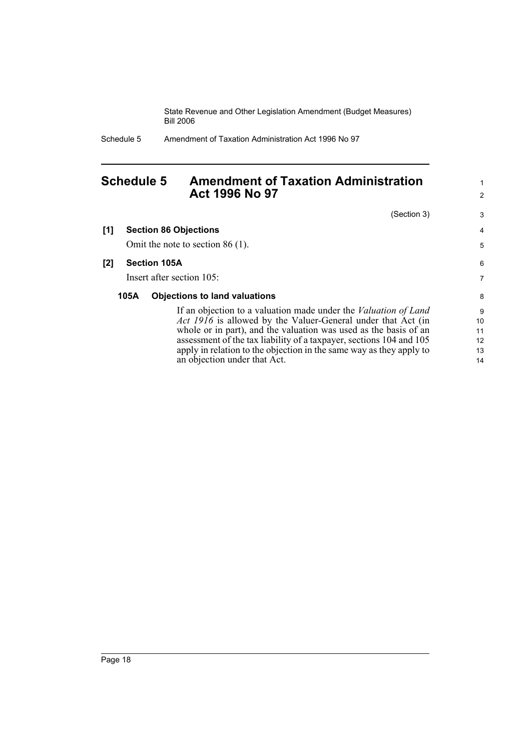Schedule 5 Amendment of Taxation Administration Act 1996 No 97

## **Schedule 5 Amendment of Taxation Administration Act 1996 No 97**

|     |      | (Section 3)                                                            | 3                 |
|-----|------|------------------------------------------------------------------------|-------------------|
| [1] |      | <b>Section 86 Objections</b>                                           | 4                 |
|     |      | Omit the note to section $86(1)$ .                                     | 5                 |
| [2] |      | <b>Section 105A</b>                                                    | 6                 |
|     |      | Insert after section 105:                                              | 7                 |
|     | 105A | <b>Objections to land valuations</b>                                   | 8                 |
|     |      | If an objection to a valuation made under the <i>Valuation of Land</i> | 9                 |
|     |      | <i>Act 1916</i> is allowed by the Valuer-General under that Act (in    | 10                |
|     |      | whole or in part), and the valuation was used as the basis of an       | 11                |
|     |      | assessment of the tax liability of a taxpayer, sections 104 and 105    | $12 \overline{ }$ |
|     |      | apply in relation to the objection in the same way as they apply to    | 13                |
|     |      | an objection under that Act.                                           | 14                |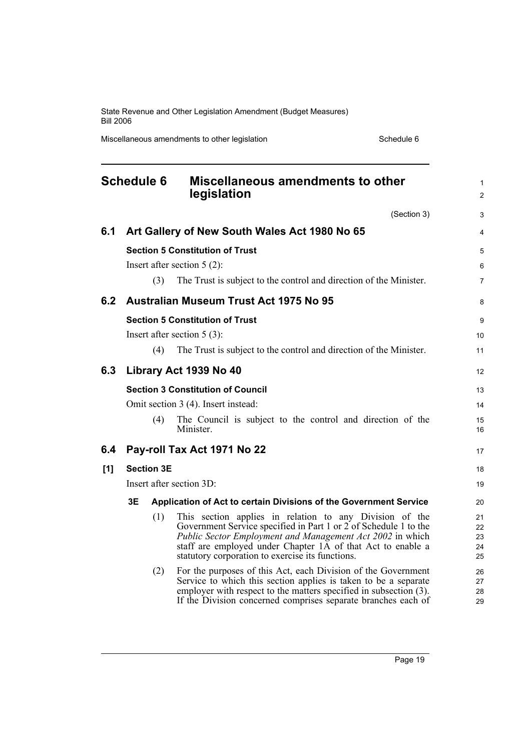Miscellaneous amendments to other legislation Schedule 6 Schedule 6

| <b>Schedule 6</b>        |                                                                         |                   | Miscellaneous amendments to other<br>legislation                                                                                                                                                                                                                                                                                                                             |                                  |  |  |
|--------------------------|-------------------------------------------------------------------------|-------------------|------------------------------------------------------------------------------------------------------------------------------------------------------------------------------------------------------------------------------------------------------------------------------------------------------------------------------------------------------------------------------|----------------------------------|--|--|
|                          |                                                                         |                   | (Section 3)                                                                                                                                                                                                                                                                                                                                                                  | 3                                |  |  |
| 6.1                      |                                                                         |                   | Art Gallery of New South Wales Act 1980 No 65                                                                                                                                                                                                                                                                                                                                | 4                                |  |  |
|                          | <b>Section 5 Constitution of Trust</b><br>Insert after section $5(2)$ : |                   |                                                                                                                                                                                                                                                                                                                                                                              |                                  |  |  |
|                          |                                                                         | (3)               | The Trust is subject to the control and direction of the Minister.                                                                                                                                                                                                                                                                                                           | 6<br>$\overline{7}$              |  |  |
| 6.2                      |                                                                         |                   | Australian Museum Trust Act 1975 No 95                                                                                                                                                                                                                                                                                                                                       | 8                                |  |  |
|                          |                                                                         |                   | <b>Section 5 Constitution of Trust</b>                                                                                                                                                                                                                                                                                                                                       | 9                                |  |  |
|                          |                                                                         |                   | Insert after section $5(3)$ :                                                                                                                                                                                                                                                                                                                                                | 10                               |  |  |
|                          |                                                                         | (4)               | The Trust is subject to the control and direction of the Minister.                                                                                                                                                                                                                                                                                                           | 11                               |  |  |
| 6.3                      |                                                                         |                   | Library Act 1939 No 40                                                                                                                                                                                                                                                                                                                                                       | 12                               |  |  |
|                          |                                                                         |                   | <b>Section 3 Constitution of Council</b>                                                                                                                                                                                                                                                                                                                                     | 13                               |  |  |
|                          |                                                                         |                   | Omit section 3 (4). Insert instead:                                                                                                                                                                                                                                                                                                                                          | 14                               |  |  |
|                          |                                                                         | (4)               | The Council is subject to the control and direction of the<br>Minister.                                                                                                                                                                                                                                                                                                      | 15<br>16                         |  |  |
| 6.4                      |                                                                         |                   | Pay-roll Tax Act 1971 No 22                                                                                                                                                                                                                                                                                                                                                  | 17                               |  |  |
| [1]                      |                                                                         | <b>Section 3E</b> |                                                                                                                                                                                                                                                                                                                                                                              | 18                               |  |  |
| Insert after section 3D: |                                                                         |                   |                                                                                                                                                                                                                                                                                                                                                                              | 19                               |  |  |
|                          | 3Ε                                                                      |                   | Application of Act to certain Divisions of the Government Service                                                                                                                                                                                                                                                                                                            | 20                               |  |  |
|                          |                                                                         | (1)<br>(2)        | This section applies in relation to any Division of the<br>Government Service specified in Part 1 or 2 of Schedule 1 to the<br>Public Sector Employment and Management Act 2002 in which<br>staff are employed under Chapter 1A of that Act to enable a<br>statutory corporation to exercise its functions.<br>For the purposes of this Act, each Division of the Government | 21<br>22<br>23<br>24<br>25<br>26 |  |  |
|                          |                                                                         |                   | Service to which this section applies is taken to be a separate<br>employer with respect to the matters specified in subsection (3).<br>If the Division concerned comprises separate branches each of                                                                                                                                                                        | 27<br>28<br>29                   |  |  |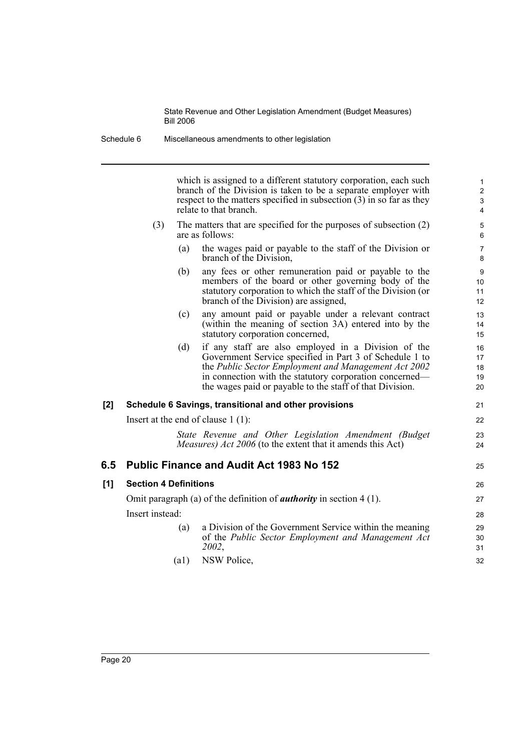which is assigned to a different statutory corporation, each such branch of the Division is taken to be a separate employer with respect to the matters specified in subsection (3) in so far as they relate to that branch.

25

- (3) The matters that are specified for the purposes of subsection (2) are as follows:
	- (a) the wages paid or payable to the staff of the Division or branch of the Division,
	- (b) any fees or other remuneration paid or payable to the members of the board or other governing body of the statutory corporation to which the staff of the Division (or branch of the Division) are assigned,
	- (c) any amount paid or payable under a relevant contract (within the meaning of section 3A) entered into by the statutory corporation concerned,
	- (d) if any staff are also employed in a Division of the Government Service specified in Part 3 of Schedule 1 to the *Public Sector Employment and Management Act 2002* in connection with the statutory corporation concerned the wages paid or payable to the staff of that Division.

#### **[2] Schedule 6 Savings, transitional and other provisions**

Insert at the end of clause 1 (1):

*State Revenue and Other Legislation Amendment (Budget Measures) Act 2006* (to the extent that it amends this Act)

#### **6.5 Public Finance and Audit Act 1983 No 152**

| [1] | <b>Section 4 Definitions</b> |                                                                                                                        | 26             |
|-----|------------------------------|------------------------------------------------------------------------------------------------------------------------|----------------|
|     |                              | Omit paragraph (a) of the definition of <i>authority</i> in section $4(1)$ .                                           | 27             |
|     | Insert instead:              |                                                                                                                        | 28             |
|     | (a)                          | a Division of the Government Service within the meaning<br>of the Public Sector Employment and Management Act<br>2002. | 29<br>30<br>31 |
|     | (al                          | NSW Police,                                                                                                            | 32             |

|  | (a1) NSW Police, |
|--|------------------|
|--|------------------|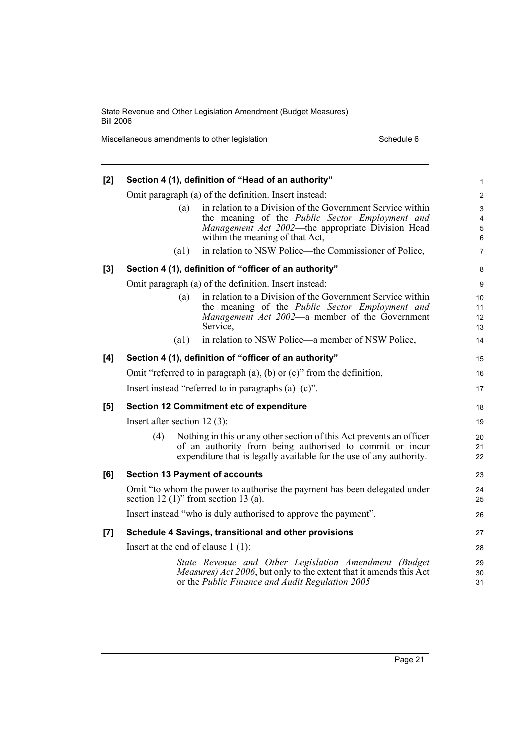Miscellaneous amendments to other legislation Schedule 6 Schedule 6

| [2]   |                                                                                                                         | Section 4 (1), definition of "Head of an authority"                                                                                                                                                     | 1                       |
|-------|-------------------------------------------------------------------------------------------------------------------------|---------------------------------------------------------------------------------------------------------------------------------------------------------------------------------------------------------|-------------------------|
|       |                                                                                                                         | Omit paragraph (a) of the definition. Insert instead:                                                                                                                                                   | $\overline{\mathbf{c}}$ |
|       | (a)                                                                                                                     | in relation to a Division of the Government Service within<br>the meaning of the Public Sector Employment and<br>Management Act 2002—the appropriate Division Head<br>within the meaning of that Act,   | 3<br>4<br>5<br>6        |
|       | (a1)                                                                                                                    | in relation to NSW Police—the Commissioner of Police,                                                                                                                                                   | $\overline{7}$          |
| $[3]$ |                                                                                                                         | Section 4 (1), definition of "officer of an authority"                                                                                                                                                  | 8                       |
|       |                                                                                                                         | Omit paragraph (a) of the definition. Insert instead:                                                                                                                                                   | 9                       |
|       | (a)                                                                                                                     | in relation to a Division of the Government Service within<br>the meaning of the Public Sector Employment and<br>Management Act 2002—a member of the Government<br>Service,                             | 10<br>11<br>12<br>13    |
|       | (a1)                                                                                                                    | in relation to NSW Police—a member of NSW Police,                                                                                                                                                       | 14                      |
| [4]   |                                                                                                                         | Section 4 (1), definition of "officer of an authority"                                                                                                                                                  | 15                      |
|       |                                                                                                                         | Omit "referred to in paragraph $(a)$ , $(b)$ or $(c)$ " from the definition.                                                                                                                            | 16                      |
|       |                                                                                                                         | Insert instead "referred to in paragraphs $(a)$ - $(c)$ ".                                                                                                                                              | 17                      |
| [5]   |                                                                                                                         | Section 12 Commitment etc of expenditure                                                                                                                                                                | 18                      |
|       | Insert after section $12(3)$ :                                                                                          |                                                                                                                                                                                                         | 19                      |
|       | (4)                                                                                                                     | Nothing in this or any other section of this Act prevents an officer<br>of an authority from being authorised to commit or incur<br>expenditure that is legally available for the use of any authority. | 20<br>21<br>22          |
| [6]   | <b>Section 13 Payment of accounts</b>                                                                                   |                                                                                                                                                                                                         | 23                      |
|       | Omit "to whom the power to authorise the payment has been delegated under<br>section 12 $(1)$ " from section 13 $(a)$ . |                                                                                                                                                                                                         |                         |
|       |                                                                                                                         | Insert instead "who is duly authorised to approve the payment".                                                                                                                                         | 26                      |
| [7]   |                                                                                                                         | Schedule 4 Savings, transitional and other provisions                                                                                                                                                   | 27                      |
|       | Insert at the end of clause $1(1)$ :                                                                                    |                                                                                                                                                                                                         | 28                      |
|       |                                                                                                                         | State Revenue and Other Legislation Amendment (Budget<br><i>Measures) Act 2006</i> , but only to the extent that it amends this Act<br>or the Public Finance and Audit Regulation 2005                  | 29<br>30<br>31          |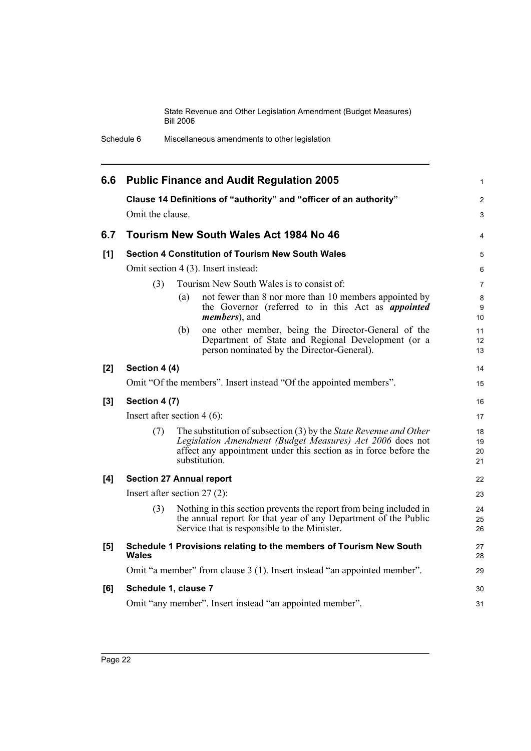| Schedule 6 | Miscellaneous amendments to other legislation |
|------------|-----------------------------------------------|
|------------|-----------------------------------------------|

| 6.6   |                                                                          |     | <b>Public Finance and Audit Regulation 2005</b>                                                                                                                                                                     | $\mathbf{1}$         |  |  |
|-------|--------------------------------------------------------------------------|-----|---------------------------------------------------------------------------------------------------------------------------------------------------------------------------------------------------------------------|----------------------|--|--|
|       | Clause 14 Definitions of "authority" and "officer of an authority"       |     |                                                                                                                                                                                                                     |                      |  |  |
|       | Omit the clause.                                                         |     |                                                                                                                                                                                                                     |                      |  |  |
| 6.7   |                                                                          |     | Tourism New South Wales Act 1984 No 46                                                                                                                                                                              | 4                    |  |  |
| [1]   |                                                                          |     | <b>Section 4 Constitution of Tourism New South Wales</b>                                                                                                                                                            | 5                    |  |  |
|       | Omit section 4 (3). Insert instead:                                      |     |                                                                                                                                                                                                                     | 6                    |  |  |
|       | (3)                                                                      |     | Tourism New South Wales is to consist of:                                                                                                                                                                           | $\overline{7}$       |  |  |
|       |                                                                          | (a) | not fewer than 8 nor more than 10 members appointed by<br>the Governor (referred to in this Act as <i>appointed</i><br><i>members</i> ), and                                                                        | 8<br>9<br>10         |  |  |
|       |                                                                          | (b) | one other member, being the Director-General of the<br>Department of State and Regional Development (or a<br>person nominated by the Director-General).                                                             | 11<br>12<br>13       |  |  |
| [2]   | Section 4 (4)                                                            |     |                                                                                                                                                                                                                     | 14                   |  |  |
|       | Omit "Of the members". Insert instead "Of the appointed members".        |     |                                                                                                                                                                                                                     |                      |  |  |
| $[3]$ | Section 4 (7)                                                            |     |                                                                                                                                                                                                                     | 16                   |  |  |
|       | Insert after section $4(6)$ :                                            |     |                                                                                                                                                                                                                     | 17                   |  |  |
|       | (7)                                                                      |     | The substitution of subsection (3) by the State Revenue and Other<br>Legislation Amendment (Budget Measures) Act 2006 does not<br>affect any appointment under this section as in force before the<br>substitution. | 18<br>19<br>20<br>21 |  |  |
| [4]   | <b>Section 27 Annual report</b>                                          |     |                                                                                                                                                                                                                     | 22                   |  |  |
|       | Insert after section $27(2)$ :                                           |     |                                                                                                                                                                                                                     | 23                   |  |  |
|       | (3)                                                                      |     | Nothing in this section prevents the report from being included in<br>the annual report for that year of any Department of the Public<br>Service that is responsible to the Minister.                               | 24<br>25<br>26       |  |  |
| [5]   | Wales                                                                    |     | Schedule 1 Provisions relating to the members of Tourism New South                                                                                                                                                  | 27<br>28             |  |  |
|       | Omit "a member" from clause 3 (1). Insert instead "an appointed member". |     |                                                                                                                                                                                                                     |                      |  |  |
| [6]   | Schedule 1, clause 7                                                     |     |                                                                                                                                                                                                                     | 30                   |  |  |
|       | Omit "any member". Insert instead "an appointed member".                 |     |                                                                                                                                                                                                                     | 31                   |  |  |